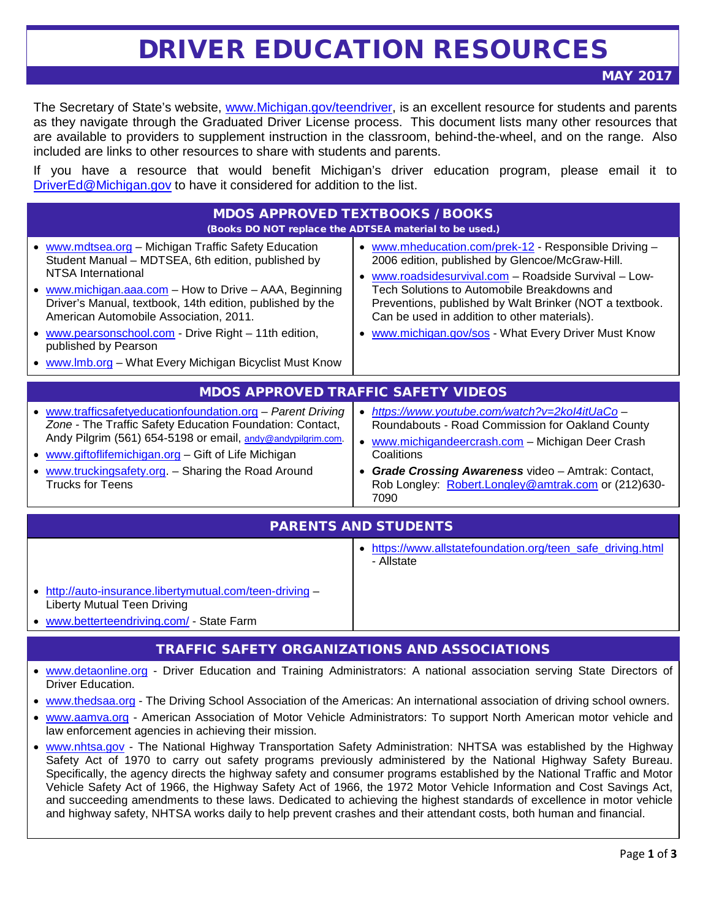## DRIVER EDUCATION RESOURCES

MAY 2017

The Secretary of State's website, [www.Michigan.gov/teendriver,](http://www.michigan.gov/teendriver) is an excellent resource for students and parents as they navigate through the Graduated Driver License process. This document lists many other resources that are available to providers to supplement instruction in the classroom, behind-the-wheel, and on the range. Also included are links to other resources to share with students and parents.

If you have a resource that would benefit Michigan's driver education program, please email it to [DriverEd@Michigan.gov](mailto:DriverEd@Michigan.gov) to have it considered for addition to the list.

| <b>MDOS APPROVED TEXTBOOKS / BOOKS</b><br>(Books DO NOT replace the ADTSEA material to be used.)                                                                                                                                                                                                                                                                                                                                              |                                                                                                                                                                                                                                                                                                                                                                                   |
|-----------------------------------------------------------------------------------------------------------------------------------------------------------------------------------------------------------------------------------------------------------------------------------------------------------------------------------------------------------------------------------------------------------------------------------------------|-----------------------------------------------------------------------------------------------------------------------------------------------------------------------------------------------------------------------------------------------------------------------------------------------------------------------------------------------------------------------------------|
| • www.mdtsea.org - Michigan Traffic Safety Education<br>Student Manual - MDTSEA, 6th edition, published by<br>NTSA International<br>• www.michigan.aaa.com - How to Drive - AAA, Beginning<br>Driver's Manual, textbook, 14th edition, published by the<br>American Automobile Association, 2011.<br>• www.pearsonschool.com - Drive Right - 11th edition,<br>published by Pearson<br>• www.lmb.org – What Every Michigan Bicyclist Must Know | • www.mheducation.com/prek-12 - Responsible Driving -<br>2006 edition, published by Glencoe/McGraw-Hill.<br>www.roadsidesurvival.com - Roadside Survival - Low-<br>Tech Solutions to Automobile Breakdowns and<br>Preventions, published by Walt Brinker (NOT a textbook.<br>Can be used in addition to other materials).<br>• www.michigan.gov/sos - What Every Driver Must Know |
| <b>MDOS APPROVED TRAFFIC SAFETY VIDEOS</b>                                                                                                                                                                                                                                                                                                                                                                                                    |                                                                                                                                                                                                                                                                                                                                                                                   |
| • www.trafficsafetyeducationfoundation.org - Parent Driving<br>Zone - The Traffic Safety Education Foundation: Contact,<br>Andy Pilgrim (561) 654-5198 or email, andy@andypilgrim.com.<br>• www.giftoflifemichigan.org - Gift of Life Michigan<br>• www.truckingsafety.org. - Sharing the Road Around<br><b>Trucks for Teens</b>                                                                                                              | https://www.youtube.com/watch?v=2kol4itUaCo-<br>$\bullet$<br>Roundabouts - Road Commission for Oakland County<br>www.michigandeercrash.com - Michigan Deer Crash<br>Coalitions<br><b>Grade Crossing Awareness video - Amtrak: Contact,</b><br>Rob Longley: Robert.Longley@amtrak.com or (212)630-<br>7090                                                                         |
| <b>PARENTS AND STUDENTS</b>                                                                                                                                                                                                                                                                                                                                                                                                                   |                                                                                                                                                                                                                                                                                                                                                                                   |

|                                                                                               | https://www.allstatefoundation.org/teen_safe_driving.html<br>- Allstate |
|-----------------------------------------------------------------------------------------------|-------------------------------------------------------------------------|
| • http://auto-insurance.libertymutual.com/teen-driving-<br><b>Liberty Mutual Teen Driving</b> |                                                                         |
| • www.betterteendriving.com/ - State Farm                                                     |                                                                         |

## TRAFFIC SAFETY ORGANIZATIONS AND ASSOCIATIONS

- [www.detaonline.org](http://www.detaonline.org/)  Driver Education and Training Administrators: A national association serving State Directors of Driver Education.
- [www.thedsaa.org](http://www.thedsaa.org/)  The Driving School Association of the Americas: An international association of driving school owners.
- [www.aamva.org](http://www.aamva.org/)  American Association of Motor Vehicle Administrators: To support North American motor vehicle and law enforcement agencies in achieving their mission.
- [www.nhtsa.gov](http://www.nhtsa.gov/)  The National Highway Transportation Safety Administration: NHTSA was established by the Highway Safety Act of 1970 to carry out safety programs previously administered by the National Highway Safety Bureau. Specifically, the agency directs the highway safety and consumer programs established by the National Traffic and Motor Vehicle Safety Act of 1966, the Highway Safety Act of 1966, the 1972 Motor Vehicle Information and Cost Savings Act, and succeeding amendments to these laws. Dedicated to achieving the highest standards of excellence in motor vehicle and highway safety, NHTSA works daily to help prevent crashes and their attendant costs, both human and financial.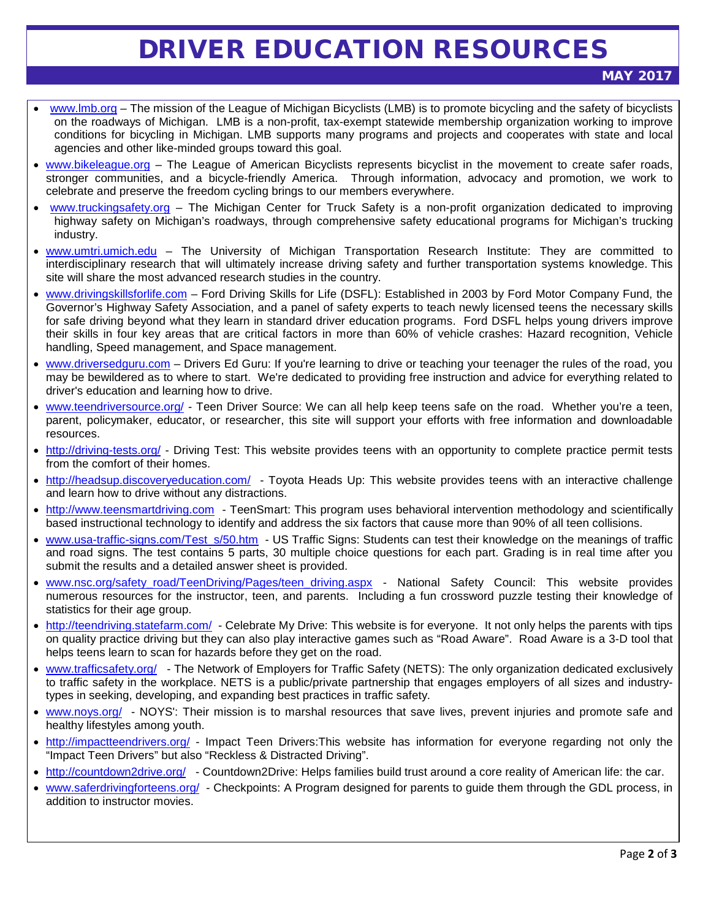## DRIVER EDUCATION RESOURCES

- [www.lmb.org](http://www.lmb.org/) The mission of the League of Michigan Bicyclists (LMB) is to promote bicycling and the safety of bicyclists on the roadways of Michigan. LMB is a non-profit, tax-exempt statewide membership organization working to improve conditions for bicycling in Michigan. LMB supports many programs and projects and cooperates with state and local agencies and other like-minded groups toward this goal.
- [www.bikeleague.org](http://www.bikeleague.org/) The League of American Bicyclists represents bicyclist in the movement to create safer roads, stronger communities, and a bicycle-friendly America. Through information, advocacy and promotion, we work to celebrate and preserve the freedom cycling brings to our members everywhere.
- [www.truckingsafety.org](http://www.truckingsafety.org/) The Michigan Center for Truck Safety is a non-profit organization dedicated to improving highway safety on Michigan's roadways, through comprehensive safety educational programs for Michigan's trucking industry.
- [www.umtri.umich.edu](http://www.umtri.umich.edu/) The University of Michigan Transportation Research Institute: They are committed to interdisciplinary research that will ultimately increase driving safety and further transportation systems knowledge. This site will share the most advanced research studies in the country.
- [www.drivingskillsforlife.com](http://www.drivingskillsforlife.com/) Ford Driving Skills for Life (DSFL): Established in 2003 by Ford Motor Company Fund, the Governor's Highway Safety Association, and a panel of safety experts to teach newly licensed teens the necessary skills for safe driving beyond what they learn in standard driver education programs. Ford DSFL helps young drivers improve their skills in four key areas that are critical factors in more than 60% of vehicle crashes: Hazard recognition, Vehicle handling, Speed management, and Space management.
- [www.driversedguru.com](http://www.driversedguru.com/) Drivers Ed Guru: If you're learning to drive or teaching your teenager the rules of the road, you may be bewildered as to where to start. We're dedicated to providing free instruction and advice for everything related to driver's education and learning how to drive.
- [www.teendriversource.org/](http://www.teendriversource.org/) Teen Driver Source: We can all help keep teens safe on the road. Whether you're a teen, parent, policymaker, educator, or researcher, this site will support your efforts with free information and downloadable resources.
- <http://driving-tests.org/> Driving Test: This website provides teens with an opportunity to complete practice permit tests from the comfort of their homes.
- <http://headsup.discoveryeducation.com/> Toyota Heads Up: This website provides teens with an interactive challenge and learn how to drive without any distractions.
- [http://www.teensmartdriving.com](http://www.teensmartdriving.com/) TeenSmart: This program uses behavioral intervention methodology and scientifically based instructional technology to identify and address the six factors that cause more than 90% of all teen collisions.
- [www.usa-traffic-signs.com/Test\\_s/50.htm](http://www.usa-traffic-signs.com/Test_s/50.htm) US Traffic Signs: Students can test their knowledge on the meanings of traffic and road signs. The test contains 5 parts, 30 multiple choice questions for each part. Grading is in real time after you submit the results and a detailed answer sheet is provided.
- [www.nsc.org/safety\\_road/TeenDriving/Pages/teen\\_driving.aspx](http://www.nsc.org/safety_road/TeenDriving/Pages/teen_driving.aspx) National Safety Council: This website provides numerous resources for the instructor, teen, and parents. Including a fun crossword puzzle testing their knowledge of statistics for their age group.
- <http://teendriving.statefarm.com/> Celebrate My Drive: This website is for everyone. It not only helps the parents with tips on quality practice driving but they can also play interactive games such as "Road Aware". Road Aware is a 3-D tool that helps teens learn to scan for hazards before they get on the road.
- [www.trafficsafety.org/](http://www.trafficsafety.org/)  The Network of Employers for Traffic Safety (NETS): The only organization dedicated exclusively to traffic safety in the workplace. NETS is a public/private partnership that engages employers of all sizes and industrytypes in seeking, developing, and expanding best practices in traffic safety.
- [www.noys.org/](http://www.noys.org/) NOYS': Their mission is to marshal resources that save lives, prevent injuries and promote safe and healthy lifestyles among youth.
- <http://impactteendrivers.org/> Impact Teen Drivers:This website has information for everyone regarding not only the "Impact Teen Drivers" but also "Reckless & Distracted Driving".
- <http://countdown2drive.org/> Countdown2Drive: Helps families build trust around a core reality of American life: the car.
- [www.saferdrivingforteens.org/](http://www.saferdrivingforteens.org/) Checkpoints: A Program designed for parents to guide them through the GDL process, in addition to instructor movies.